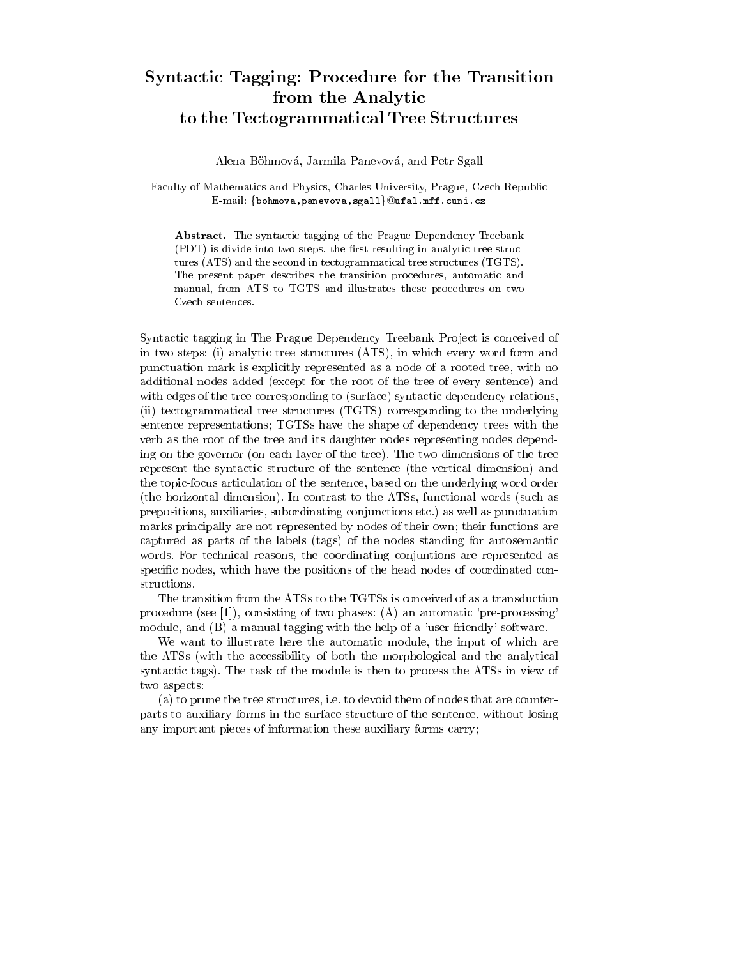## Syntactic Tagging: Procedure for the Transition from the Analytic to the Tectogrammatical Tree Structures

Alena Bohmova, Jarmila Panevova, and Petr Sgall

Faculty of Mathematics and Physics, Charles University, Prague, Czech Republic E-mail: {bohmova, panevova, sgall } @ufal.mff.cuni.cz

Abstract. The syntactic tagging of the Prague Dependency Treebank  $(PDT)$  is divide into two steps, the first resulting in analytic tree structures (ATS) and the second in tectogrammatical tree structures (TGTS). The present paper describes the transition procedures, automatic and manual, from ATS to TGTS and illustrates these procedures on two Czech sentences.

Syntactic tagging in The Prague Dependency Treebank Project is conceived of in two steps: (i) analytic tree structures (ATS), in which every word form and punctuation mark is explicitly represented as a node of a rooted tree, with no additional nodes added (except for the root of the tree of every sentence) and with edges of the tree corresponding to (surface) syntactic dependency relations, (ii) tectogrammatical tree structures (TGTS) corresponding to the underlying sentence representations; TGTSs have the shape of dependency trees with the verb as the root of the tree and its daughter nodes representing nodes depending on the governor (on each layer of the tree). The two dimensions of the tree represent the syntactic structure of the sentence (the vertical dimension) and the topic-focus articulation of the sentence, based on the underlying word order (the horizontal dimension). In contrast to the ATSs, functional words (such as prepositions, auxiliaries, subordinating conjunctions etc.) as well as punctuation marks principally are not represented by nodes of their own; their functions are captured as parts of the labels (tags) of the nodes standing for autosemantic words. For technical reasons, the coordinating conjuntions are represented as specific nodes, which have the positions of the head nodes of coordinated constructions.

The transition from the ATSs to the TGTSs is conceived of as a transduction procedure (see [1]), consisting of two phases: (A) an automatic 'pre-processing' module, and (B) a manual tagging with the help of a 'user-friendly' software.

We want to illustrate here the automatic module, the input of which are the ATSs (with the accessibility of both the morphological and the analytical syntactic tags). The task of the module is then to process the ATSs in view of two aspects:

(a) to prune the tree structures, i.e. to devoid them of nodes that are counterparts to auxiliary forms in the surface structure of the sentence, without losing any important pieces of information these auxiliary forms carry;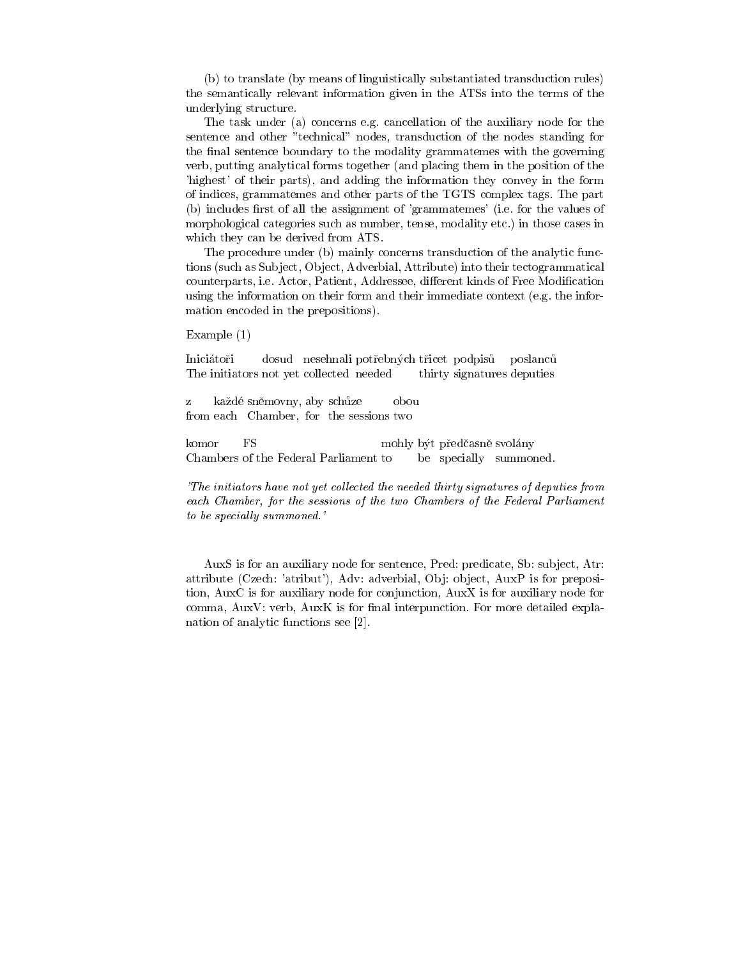(b) to translate (by means of linguistically substantiated transduction rules) the semantically relevant information given in the ATSs into the terms of the underlying structure.

The task under (a) concerns e.g. cancellation of the auxiliary node for the sentence and other "technical" nodes, transduction of the nodes standing for the final sentence boundary to the modality grammatemes with the governing verb, putting analytical forms together (and placing them in the position of the 'highest' of their parts), and adding the information they convey in the form of indices, grammatemes and other parts of the TGTS complex tags. The part (b) includes first of all the assignment of 'grammatemes' (i.e. for the values of morphological categories such as number, tense, modality etc.) in those cases in which they can be derived from ATS.

The procedure under (b) mainly concerns transduction of the analytic functions (such as Sub ject, Ob ject, Adverbial, Attribute) into their tectogrammatical counterparts, i.e. Actor, Patient, Addressee, different kinds of Free Modification using the information on their form and their immediate context (e.g. the information encoded in the prepositions).

## Example (1)

Iniciátoři not initiate meer get teneeded needed to the s nesehnali podpisu podpisu podpisu podpisu podpisu podpisu podpisu podpisu podpisu podpisu podpisu podpisu podp this is a complete that the second contract of the second contract of the second contract of the second contract of the second contract of the second contract of the second contract of the second contract of the second con poslanců

z kazde snemovny, aby schuze from each Chamber, for the sessions two

komor  $FS$ mohly byt predcasne svolany to be specially summoned.

'The initiators have not yet collected the needed thirty signatures of deputies from each Chamber, for the sessions of the two Chambers of the Federal Parliament to be specially summoned.'

AuxS is for an auxiliary node for sentence, Pred: predicate, Sb: sub ject, Atr: attribute (Czech: 'atribut'), Adv: adverbial, Obj: object, AuxP is for preposition, AuxC is for auxiliary node for conjunction, AuxX is for auxiliary node for  $comma, AuxV: verb, AuxK is for final interpolation. For more detailed expla$ nation of analytic functions see [2].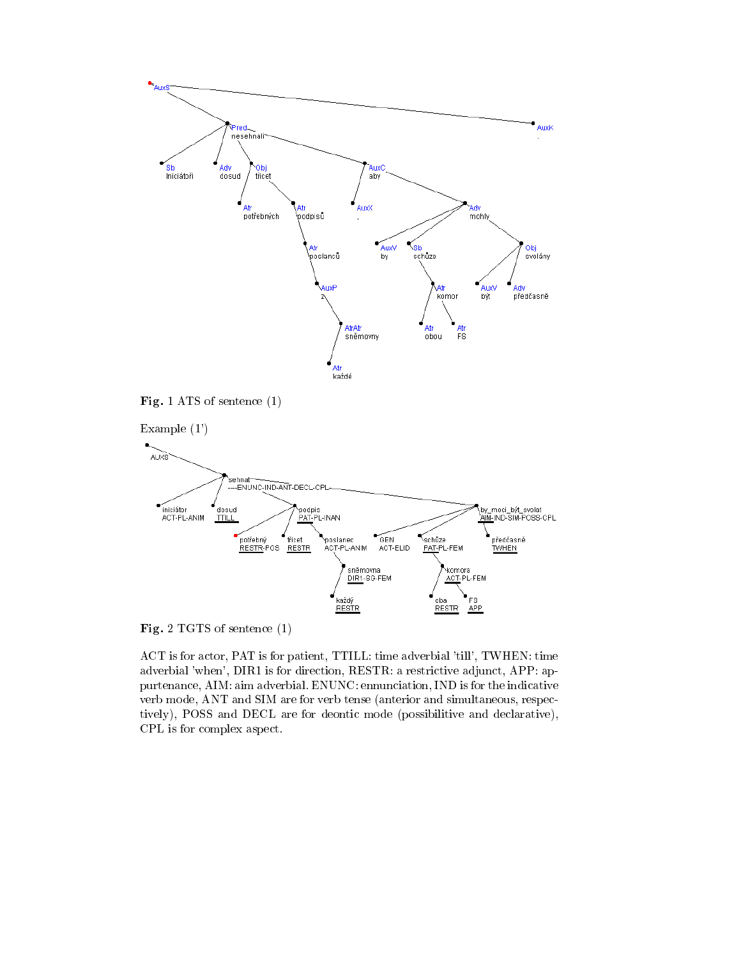

 $\mathbf{F}$  . The sense of sense (1)



Fig. 2 TGTS of sentence (1)

ACT is for actor, PAT is for patient, TTILL: time adverbial 'till', TWHEN: time adverbial 'when', DIR1 is for direction, RESTR: a restrictive adjunct, APP: appurtenance, AIM: aim adverbial. ENUNC: ennunciation, IND is for the indicative verb mode, ANT and SIM are for verb tense (anterior and simultaneous, respectively), POSS and DECL are for deontic mode (possibilitive and declarative), CPL is for complex aspect.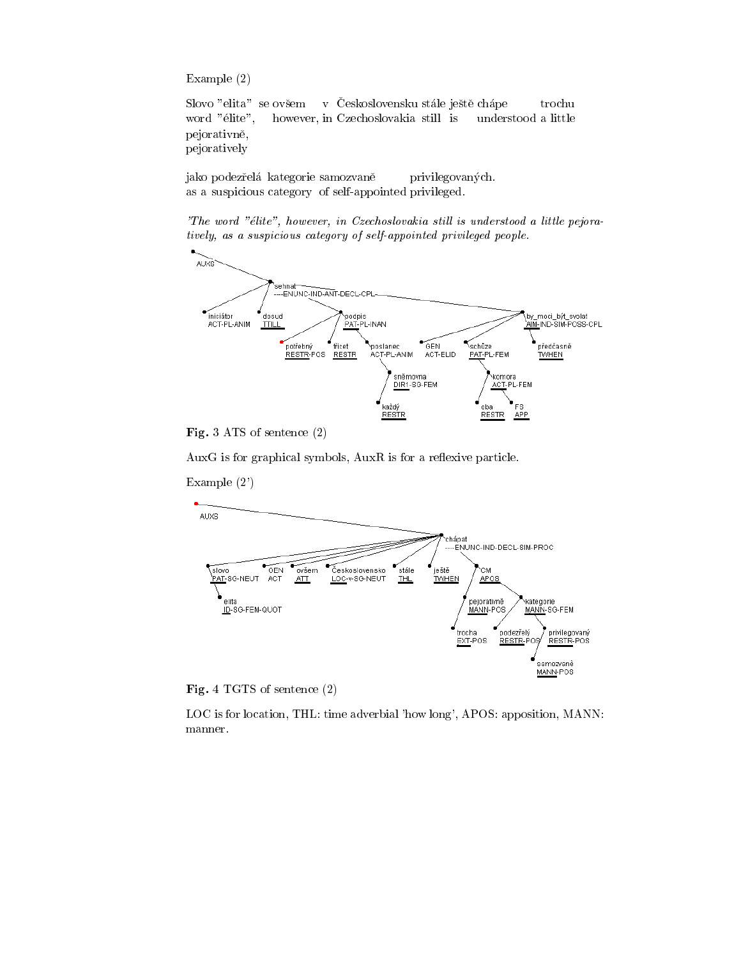Example (2)

", "elite", "elite", "elite", "elite", "elite", "elite", "elite", "elite", "elite", "elite", "elite", "elite", "elit se ovsem – v Oeskoslovensku stale jeste chape – – ti however, in Czechoslovakia still is trochu pejorativne, pejoratively

jako podezrela kategorie samozvane as a suspicious category of self-appointed privileged. privilegovaných.

'The word "élite", however, in Czechoslovakia still is understood a little pejoratively, as a suspicious category of self-appointed privileged people.





AuxG is for graphical symbols,  $AuxR$  is for a reflexive particle.

Example (2')



Fig. 4 TGTS of sentence (2)

LOC is for location, THL: time adverbial 'how long', APOS: apposition, MANN: manner.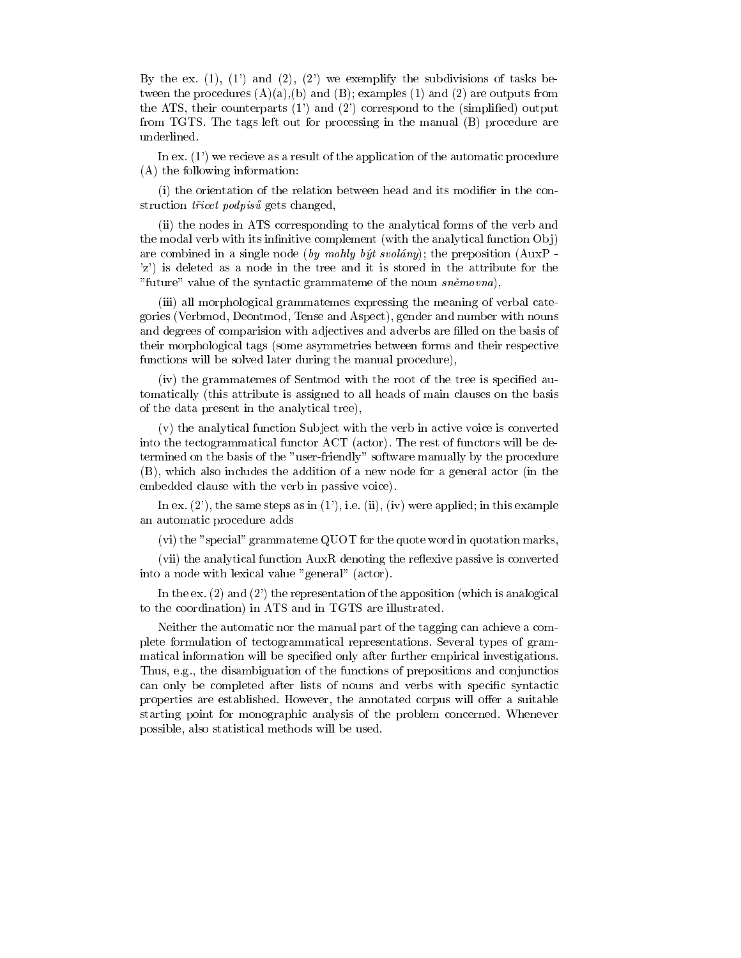By the ex. (1), (1') and (2), (2') we exemplify the subdivisions of tasks between the procedures  $(A)(a),(b)$  and  $(B)$ ; examples  $(1)$  and  $(2)$  are outputs from the ATS, their counterparts  $(1')$  and  $(2')$  correspond to the (simplified) output from TGTS. The tags left out for processing in the manual (B) procedure are underlined.

In ex. (1') we recieve as a result of the application of the automatic procedure (A) the following information:

(i) the orientation of the relation between head and its modifier in the construction *třicet podpisů* gets changed,

(ii) the nodes in ATS corresponding to the analytical forms of the verb and the modal verb with its infinitive complement (with the analytical function  $Obj$ ) are combined in a single node (by mohly byt svolany); the preposition (AuxP -'z') is deleted as a node in the tree and it is stored in the attribute for the "future" value of the syntactic grammateme of the noun  $sn\check{e}movna$ ,

(iii) all morphological grammatemes expressing the meaning of verbal categories (Verbmod, Deontmod, Tense and Aspect), gender and number with nouns and degrees of comparision with adjectives and adverbs are filled on the basis of their morphological tags (some asymmetries between forms and their respective functions will be solved later during the manual procedure),

(iv) the grammatemes of Sentmod with the root of the tree is specied automatically (this attribute is assigned to all heads of main clauses on the basis of the data present in the analytical tree),

(v) the analytical function Sub ject with the verb in active voice is converted into the tectogrammatical functor ACT (actor). The rest of functors will be determined on the basis of the "user-friendly" software manually by the procedure (B), which also includes the addition of a new node for a general actor (in the embedded clause with the verb in passive voice).

In ex.  $(2')$ , the same steps as in  $(1')$ , i.e.  $(ii)$ ,  $(iv)$  were applied; in this example an automatic procedure adds

(vi) the "special" grammateme QUOT for the quote word in quotation marks,

(vii) the analytical function AuxR denoting the reflexive passive is converted into a node with lexical value "general" (actor).

In the ex.  $(2)$  and  $(2')$  the representation of the apposition (which is analogical to the coordination) in ATS and in TGTS are illustrated.

Neither the automatic nor the manual part of the tagging can achieve a complete formulation of tectogrammatical representations. Several types of grammatical information will be specified only after further empirical investigations. Thus, e.g., the disambiguation of the functions of prepositions and conjunctios can only be completed after lists of nouns and verbs with specic syntactic properties are established. However, the annotated corpus will offer a suitable starting point for monographic analysis of the problem concerned. Whenever possible, also statistical methods will be used.